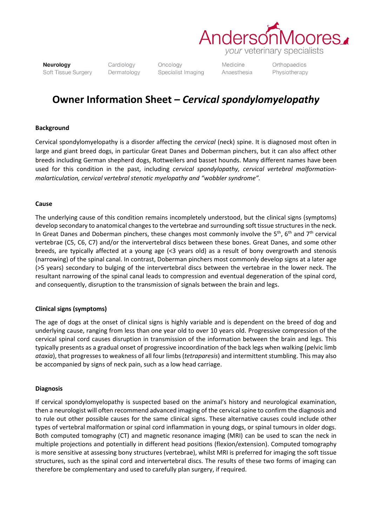

Neurology Soft Tissue Surgery Cardiology Dermatology

Oncology Specialist Imaging Medicine Anaesthesia Orthopaedics Physiotherapy

# **Owner Information Sheet –** *Cervical spondylomyelopathy*

### **Background**

Cervical spondylomyelopathy is a disorder affecting the *cervical* (neck) spine. It is diagnosed most often in large and giant breed dogs, in particular Great Danes and Doberman pinchers, but it can also affect other breeds including German shepherd dogs, Rottweilers and basset hounds. Many different names have been used for this condition in the past, including *cervical spondylopathy, cervical vertebral malformationmalarticulation, cervical vertebral stenotic myelopathy and "wobbler syndrome".*

## **Cause**

The underlying cause of this condition remains incompletely understood, but the clinical signs (symptoms) develop secondary to anatomical changes to the vertebrae and surrounding soft tissue structures in the neck. In Great Danes and Doberman pinchers, these changes most commonly involve the 5<sup>th</sup>, 6<sup>th</sup> and 7<sup>th</sup> cervical vertebrae (C5, C6, C7) and/or the intervertebral discs between these bones. Great Danes, and some other breeds, are typically affected at a young age (<3 years old) as a result of bony overgrowth and stenosis (narrowing) of the spinal canal. In contrast, Doberman pinchers most commonly develop signs at a later age (>5 years) secondary to bulging of the intervertebral discs between the vertebrae in the lower neck. The resultant narrowing of the spinal canal leads to compression and eventual degeneration of the spinal cord, and consequently, disruption to the transmission of signals between the brain and legs.

# **Clinical signs (symptoms)**

The age of dogs at the onset of clinical signs is highly variable and is dependent on the breed of dog and underlying cause, ranging from less than one year old to over 10 years old. Progressive compression of the cervical spinal cord causes disruption in transmission of the information between the brain and legs. This typically presents as a gradual onset of progressive incoordination of the back legs when walking (pelvic limb *ataxia*), that progresses to weakness of all four limbs(*tetraparesis*) and intermittent stumbling. This may also be accompanied by signs of neck pain, such as a low head carriage.

#### **Diagnosis**

If cervical spondylomyelopathy is suspected based on the animal's history and neurological examination, then a neurologist will often recommend advanced imaging of the cervical spine to confirm the diagnosis and to rule out other possible causes for the same clinical signs. These alternative causes could include other types of vertebral malformation or spinal cord inflammation in young dogs, or spinal tumours in older dogs. Both computed tomography (CT) and magnetic resonance imaging (MRI) can be used to scan the neck in multiple projections and potentially in different head positions (flexion/extension). Computed tomography is more sensitive at assessing bony structures (vertebrae), whilst MRI is preferred for imaging the soft tissue structures, such as the spinal cord and intervertebral discs. The results of these two forms of imaging can therefore be complementary and used to carefully plan surgery, if required.